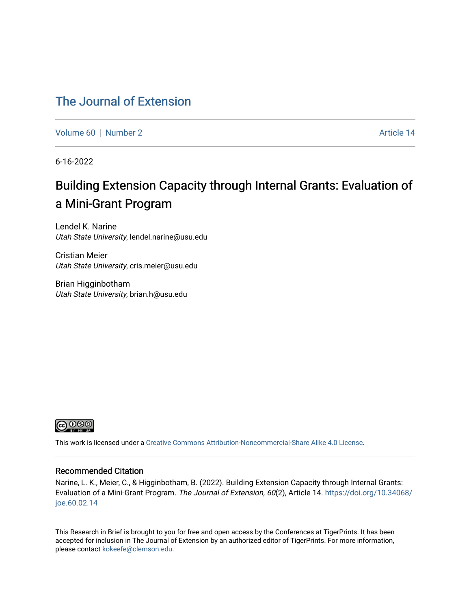## [The Journal of Extension](https://tigerprints.clemson.edu/joe)

[Volume 60](https://tigerprints.clemson.edu/joe/vol60) [Number 2](https://tigerprints.clemson.edu/joe/vol60/iss2) Article 14

6-16-2022

# Building Extension Capacity through Internal Grants: Evaluation of a Mini-Grant Program

Lendel K. Narine Utah State University, lendel.narine@usu.edu

Cristian Meier Utah State University, cris.meier@usu.edu

Brian Higginbotham Utah State University, brian.h@usu.edu



This work is licensed under a [Creative Commons Attribution-Noncommercial-Share Alike 4.0 License.](https://creativecommons.org/licenses/by-nc-sa/4.0/)

#### Recommended Citation

Narine, L. K., Meier, C., & Higginbotham, B. (2022). Building Extension Capacity through Internal Grants: Evaluation of a Mini-Grant Program. The Journal of Extension, 60(2), Article 14. [https://doi.org/10.34068/](https://doi.org/10.34068/joe.60.02.14) [joe.60.02.14](https://doi.org/10.34068/joe.60.02.14) 

This Research in Brief is brought to you for free and open access by the Conferences at TigerPrints. It has been accepted for inclusion in The Journal of Extension by an authorized editor of TigerPrints. For more information, please contact [kokeefe@clemson.edu](mailto:kokeefe@clemson.edu).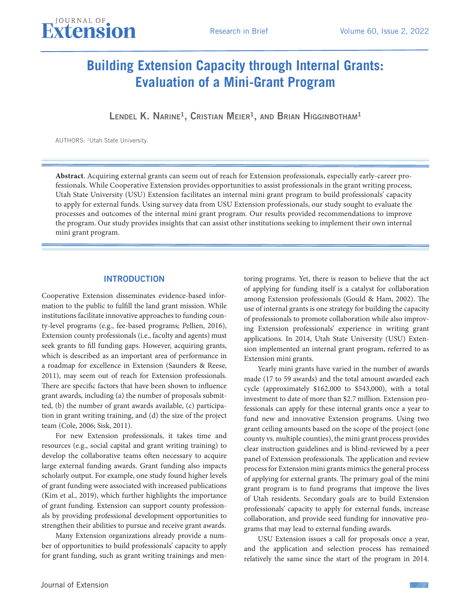## **Building Extension Capacity through Internal Grants: Evaluation of a Mini-Grant Program**

Lendel K. Narine<sup>1</sup>, Cristian Meier<sup>1</sup>, and Brian Higginbotham<sup>1</sup>

AUTHORS: 1Utah State University.

**Abstract**. Acquiring external grants can seem out of reach for Extension professionals, especially early-career professionals. While Cooperative Extension provides opportunities to assist professionals in the grant writing process, Utah State University (USU) Extension facilitates an internal mini grant program to build professionals' capacity to apply for external funds. Using survey data from USU Extension professionals, our study sought to evaluate the processes and outcomes of the internal mini grant program. Our results provided recommendations to improve the program. Our study provides insights that can assist other institutions seeking to implement their own internal mini grant program.

### INTRODUCTION

Cooperative Extension disseminates evidence-based information to the public to fulfill the land grant mission. While institutions facilitate innovative approaches to funding county-level programs (e.g., fee-based programs; Pellien, 2016), Extension county professionals (i.e., faculty and agents) must seek grants to fill funding gaps. However, acquiring grants, which is described as an important area of performance in a roadmap for excellence in Extension (Saunders & Reese, 2011), may seem out of reach for Extension professionals. There are specific factors that have been shown to influence grant awards, including (a) the number of proposals submitted, (b) the number of grant awards available, (c) participation in grant writing training, and (d) the size of the project team (Cole, 2006; Sisk, 2011).

For new Extension professionals, it takes time and resources (e.g., social capital and grant writing training) to develop the collaborative teams often necessary to acquire large external funding awards. Grant funding also impacts scholarly output. For example, one study found higher levels of grant funding were associated with increased publications (Kim et al., 2019), which further highlights the importance of grant funding. Extension can support county professionals by providing professional development opportunities to strengthen their abilities to pursue and receive grant awards.

Many Extension organizations already provide a number of opportunities to build professionals' capacity to apply for grant funding, such as grant writing trainings and mentoring programs. Yet, there is reason to believe that the act of applying for funding itself is a catalyst for collaboration among Extension professionals (Gould & Ham, 2002). The use of internal grants is one strategy for building the capacity of professionals to promote collaboration while also improving Extension professionals' experience in writing grant applications. In 2014, Utah State University (USU) Extension implemented an internal grant program, referred to as Extension mini grants.

Yearly mini grants have varied in the number of awards made (17 to 59 awards) and the total amount awarded each cycle (approximately \$162,000 to \$543,000), with a total investment to date of more than \$2.7 million. Extension professionals can apply for these internal grants once a year to fund new and innovative Extension programs. Using two grant ceiling amounts based on the scope of the project (one county vs. multiple counties), the mini grant process provides clear instruction guidelines and is blind-reviewed by a peer panel of Extension professionals. The application and review process for Extension mini grants mimics the general process of applying for external grants. The primary goal of the mini grant program is to fund programs that improve the lives of Utah residents. Secondary goals are to build Extension professionals' capacity to apply for external funds, increase collaboration, and provide seed funding for innovative programs that may lead to external funding awards.

USU Extension issues a call for proposals once a year, and the application and selection process has remained relatively the same since the start of the program in 2014.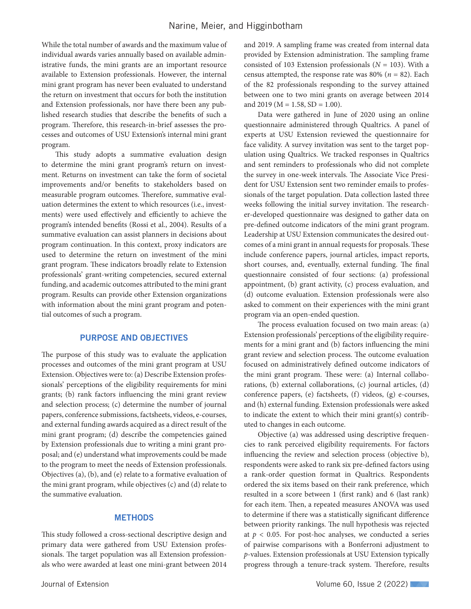While the total number of awards and the maximum value of individual awards varies annually based on available administrative funds, the mini grants are an important resource available to Extension professionals. However, the internal mini grant program has never been evaluated to understand the return on investment that occurs for both the institution and Extension professionals, nor have there been any published research studies that describe the benefits of such a program. Therefore, this research-in-brief assesses the processes and outcomes of USU Extension's internal mini grant program.

This study adopts a summative evaluation design to determine the mini grant program's return on investment. Returns on investment can take the form of societal improvements and/or benefits to stakeholders based on measurable program outcomes. Therefore, summative evaluation determines the extent to which resources (i.e., investments) were used effectively and efficiently to achieve the program's intended benefits (Rossi et al., 2004). Results of a summative evaluation can assist planners in decisions about program continuation. In this context, proxy indicators are used to determine the return on investment of the mini grant program. These indicators broadly relate to Extension professionals' grant-writing competencies, secured external funding, and academic outcomes attributed to the mini grant program. Results can provide other Extension organizations with information about the mini grant program and potential outcomes of such a program.

## PURPOSE AND OBJECTIVES

The purpose of this study was to evaluate the application processes and outcomes of the mini grant program at USU Extension. Objectives were to: (a) Describe Extension professionals' perceptions of the eligibility requirements for mini grants; (b) rank factors influencing the mini grant review and selection process; (c) determine the number of journal papers, conference submissions, factsheets, videos, e-courses, and external funding awards acquired as a direct result of the mini grant program; (d) describe the competencies gained by Extension professionals due to writing a mini grant proposal; and (e) understand what improvements could be made to the program to meet the needs of Extension professionals. Objectives (a), (b), and (e) relate to a formative evaluation of the mini grant program, while objectives (c) and (d) relate to the summative evaluation.

## **METHODS**

This study followed a cross-sectional descriptive design and primary data were gathered from USU Extension professionals. The target population was all Extension professionals who were awarded at least one mini-grant between 2014

and 2019. A sampling frame was created from internal data provided by Extension administration. The sampling frame consisted of 103 Extension professionals (*N* = 103). With a census attempted, the response rate was 80% (*n* = 82). Each of the 82 professionals responding to the survey attained between one to two mini grants on average between 2014 and 2019 ( $M = 1.58$ , SD = 1.00).

Data were gathered in June of 2020 using an online questionnaire administered through Qualtrics. A panel of experts at USU Extension reviewed the questionnaire for face validity. A survey invitation was sent to the target population using Qualtrics. We tracked responses in Qualtrics and sent reminders to professionals who did not complete the survey in one-week intervals. The Associate Vice President for USU Extension sent two reminder emails to professionals of the target population. Data collection lasted three weeks following the initial survey invitation. The researcher-developed questionnaire was designed to gather data on pre-defined outcome indicators of the mini grant program. Leadership at USU Extension communicates the desired outcomes of a mini grant in annual requests for proposals. These include conference papers, journal articles, impact reports, short courses, and, eventually, external funding. The final questionnaire consisted of four sections: (a) professional appointment, (b) grant activity, (c) process evaluation, and (d) outcome evaluation. Extension professionals were also asked to comment on their experiences with the mini grant program via an open-ended question.

The process evaluation focused on two main areas: (a) Extension professionals' perceptions of the eligibility requirements for a mini grant and (b) factors influencing the mini grant review and selection process. The outcome evaluation focused on administratively defined outcome indicators of the mini grant program. These were: (a) Internal collaborations, (b) external collaborations, (c) journal articles, (d) conference papers, (e) factsheets, (f) videos, (g) e-courses, and (h) external funding. Extension professionals were asked to indicate the extent to which their mini grant(s) contributed to changes in each outcome.

Objective (a) was addressed using descriptive frequencies to rank perceived eligibility requirements. For factors influencing the review and selection process (objective b), respondents were asked to rank six pre-defined factors using a rank-order question format in Qualtrics. Respondents ordered the six items based on their rank preference, which resulted in a score between 1 (first rank) and 6 (last rank) for each item. Then, a repeated measures ANOVA was used to determine if there was a statistically significant difference between priority rankings. The null hypothesis was rejected at  $p < 0.05$ . For post-hoc analyses, we conducted a series of pairwise comparisons with a Bonferroni adjustment to *p*-values. Extension professionals at USU Extension typically progress through a tenure-track system. Therefore, results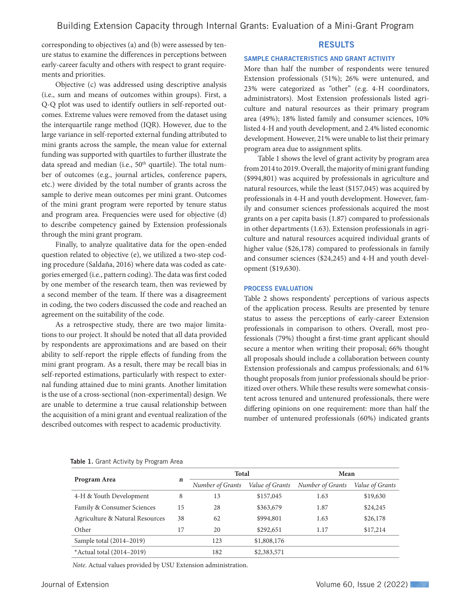corresponding to objectives (a) and (b) were assessed by tenure status to examine the differences in perceptions between early-career faculty and others with respect to grant requirements and priorities.

Objective (c) was addressed using descriptive analysis (i.e., sum and means of outcomes within groups). First, a Q-Q plot was used to identify outliers in self-reported outcomes. Extreme values were removed from the dataset using the interquartile range method (IQR). However, due to the large variance in self-reported external funding attributed to mini grants across the sample, the mean value for external funding was supported with quartiles to further illustrate the data spread and median (i.e., 50<sup>th</sup> quartile). The total number of outcomes (e.g., journal articles, conference papers, etc.) were divided by the total number of grants across the sample to derive mean outcomes per mini grant. Outcomes of the mini grant program were reported by tenure status and program area. Frequencies were used for objective (d) to describe competency gained by Extension professionals through the mini grant program.

Finally, to analyze qualitative data for the open-ended question related to objective (e), we utilized a two-step coding procedure (Saldaña, 2016) where data was coded as categories emerged (i.e., pattern coding). The data was first coded by one member of the research team, then was reviewed by a second member of the team. If there was a disagreement in coding, the two coders discussed the code and reached an agreement on the suitability of the code.

As a retrospective study, there are two major limitations to our project. It should be noted that all data provided by respondents are approximations and are based on their ability to self-report the ripple effects of funding from the mini grant program. As a result, there may be recall bias in self-reported estimations, particularly with respect to external funding attained due to mini grants. Another limitation is the use of a cross-sectional (non-experimental) design. We are unable to determine a true causal relationship between the acquisition of a mini grant and eventual realization of the described outcomes with respect to academic productivity.

## RESULTS

#### SAMPLE CHARACTERISTICS AND GRANT ACTIVITY

More than half the number of respondents were tenured Extension professionals (51%); 26% were untenured, and 23% were categorized as "other" (e.g. 4-H coordinators, administrators). Most Extension professionals listed agriculture and natural resources as their primary program area (49%); 18% listed family and consumer sciences, 10% listed 4-H and youth development, and 2.4% listed economic development. However, 21% were unable to list their primary program area due to assignment splits.

Table 1 shows the level of grant activity by program area from 2014 to 2019. Overall, the majority of mini grant funding (\$994,801) was acquired by professionals in agriculture and natural resources, while the least (\$157,045) was acquired by professionals in 4-H and youth development. However, family and consumer sciences professionals acquired the most grants on a per capita basis (1.87) compared to professionals in other departments (1.63). Extension professionals in agriculture and natural resources acquired individual grants of higher value (\$26,178) compared to professionals in family and consumer sciences (\$24,245) and 4-H and youth development (\$19,630).

#### PROCESS EVALUATION

Table 2 shows respondents' perceptions of various aspects of the application process. Results are presented by tenure status to assess the perceptions of early-career Extension professionals in comparison to others. Overall, most professionals (79%) thought a first-time grant applicant should secure a mentor when writing their proposal; 66% thought all proposals should include a collaboration between county Extension professionals and campus professionals; and 61% thought proposals from junior professionals should be prioritized over others. While these results were somewhat consistent across tenured and untenured professionals, there were differing opinions on one requirement: more than half the number of untenured professionals (60%) indicated grants

|                                 | n  | <b>Total</b>     |                 | Mean             |                 |  |
|---------------------------------|----|------------------|-----------------|------------------|-----------------|--|
| Program Area                    |    | Number of Grants | Value of Grants | Number of Grants | Value of Grants |  |
| 4-H & Youth Development         | 8  | 13               | \$157,045       | 1.63             | \$19,630        |  |
| Family & Consumer Sciences      | 15 | 28               | \$363,679       | 1.87             | \$24,245        |  |
| Agriculture & Natural Resources | 38 | 62               | \$994,801       | 1.63             | \$26,178        |  |
| Other                           | 17 | 20               | \$292,651       | 1.17             | \$17,214        |  |
| Sample total (2014-2019)        |    | 123              | \$1,808,176     |                  |                 |  |
| *Actual total $(2014-2019)$     |    | 182              | \$2,383,571     |                  |                 |  |

Table 1. Grant Activity by Program Area

*Note*. Actual values provided by USU Extension administration.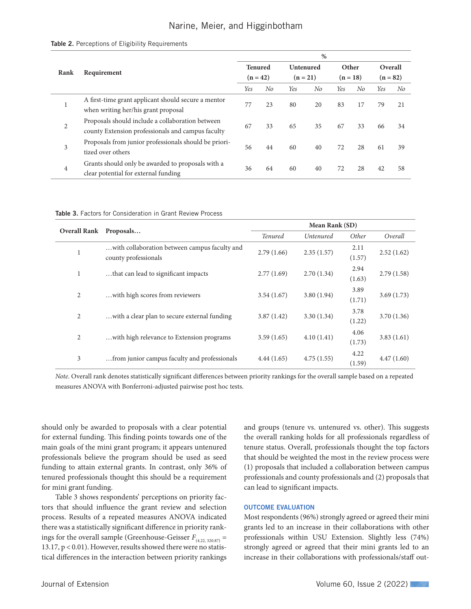## Narine, Meier, and Higginbotham

#### Table 2. Perceptions of Eligibility Requirements

|                | Requirement                                                                                           |    | $\%$                                                                                       |    |                                |    |                     |    |                       |    |
|----------------|-------------------------------------------------------------------------------------------------------|----|--------------------------------------------------------------------------------------------|----|--------------------------------|----|---------------------|----|-----------------------|----|
| Rank           |                                                                                                       |    | <b>Tenured</b><br>$(n = 42)$                                                               |    | <b>Untenured</b><br>$(n = 21)$ |    | Other<br>$(n = 18)$ |    | Overall<br>$(n = 82)$ |    |
|                |                                                                                                       |    |                                                                                            |    |                                |    |                     |    |                       |    |
| 1              |                                                                                                       |    | A first-time grant applicant should secure a mentor<br>when writing her/his grant proposal | 77 | 23                             | 80 | 20                  | 83 | 17                    | 79 |
| 2              | Proposals should include a collaboration between<br>county Extension professionals and campus faculty | 67 | 33                                                                                         | 65 | 35                             | 67 | 33                  | 66 | 34                    |    |
| 3              | Proposals from junior professionals should be priori-<br>tized over others                            | 56 | 44                                                                                         | 60 | 40                             | 72 | 28                  | 61 | 39                    |    |
| $\overline{4}$ | Grants should only be awarded to proposals with a<br>clear potential for external funding             | 36 | 64                                                                                         | 60 | 40                             | 72 | 28                  | 42 | 58                    |    |

| <b>Table 3.</b> Factors for Consideration in Grant Review Process |  |
|-------------------------------------------------------------------|--|
|-------------------------------------------------------------------|--|

| Overall Rank Proposals |                                                                       | Mean Rank (SD) |                  |                |            |  |  |
|------------------------|-----------------------------------------------------------------------|----------------|------------------|----------------|------------|--|--|
|                        |                                                                       | <b>Tenured</b> | <i>Untenured</i> | Other          | Overall    |  |  |
| 1                      | with collaboration between campus faculty and<br>county professionals | 2.79(1.66)     | 2.35(1.57)       | 2.11<br>(1.57) | 2.52(1.62) |  |  |
| 1                      | that can lead to significant impacts.                                 | 2.77(1.69)     | 2.70(1.34)       | 2.94<br>(1.63) | 2.79(1.58) |  |  |
| $\overline{2}$         | with high scores from reviewers.                                      | 3.54(1.67)     | 3.80(1.94)       | 3.89<br>(1.71) | 3.69(1.73) |  |  |
| 2                      | with a clear plan to secure external funding.                         | 3.87(1.42)     | 3.30(1.34)       | 3.78<br>(1.22) | 3.70(1.36) |  |  |
| 2                      | with high relevance to Extension programs.                            | 3.59(1.65)     | 4.10(1.41)       | 4.06<br>(1.73) | 3.83(1.61) |  |  |
| 3                      | from junior campus faculty and professionals.                         | 4.44(1.65)     | 4.75(1.55)       | 4.22<br>(1.59) | 4.47(1.60) |  |  |

*Note*. Overall rank denotes statistically significant differences between priority rankings for the overall sample based on a repeated measures ANOVA with Bonferroni-adjusted pairwise post hoc tests.

should only be awarded to proposals with a clear potential for external funding. This finding points towards one of the main goals of the mini grant program; it appears untenured professionals believe the program should be used as seed funding to attain external grants. In contrast, only 36% of tenured professionals thought this should be a requirement for mini grant funding.

Table 3 shows respondents' perceptions on priority factors that should influence the grant review and selection process. Results of a repeated measures ANOVA indicated there was a statistically significant difference in priority rankings for the overall sample (Greenhouse-Geisser  $F_{(4.22, 320.87)}$  = 13.17, p < 0.01). However, results showed there were no statistical differences in the interaction between priority rankings and groups (tenure vs. untenured vs. other). This suggests the overall ranking holds for all professionals regardless of tenure status. Overall, professionals thought the top factors that should be weighted the most in the review process were (1) proposals that included a collaboration between campus professionals and county professionals and (2) proposals that can lead to significant impacts.

#### OUTCOME EVALUATION

Most respondents (96%) strongly agreed or agreed their mini grants led to an increase in their collaborations with other professionals within USU Extension. Slightly less (74%) strongly agreed or agreed that their mini grants led to an increase in their collaborations with professionals/staff out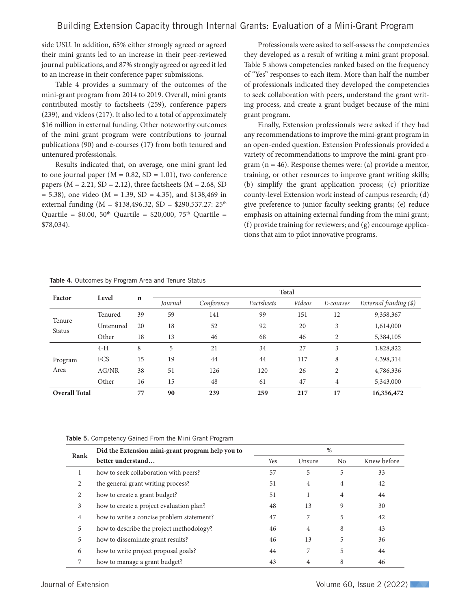side USU. In addition, 65% either strongly agreed or agreed their mini grants led to an increase in their peer-reviewed journal publications, and 87% strongly agreed or agreed it led to an increase in their conference paper submissions.

Table 4 provides a summary of the outcomes of the mini-grant program from 2014 to 2019. Overall, mini grants contributed mostly to factsheets (259), conference papers (239), and videos (217). It also led to a total of approximately \$16 million in external funding. Other noteworthy outcomes of the mini grant program were contributions to journal publications (90) and e-courses (17) from both tenured and untenured professionals.

Results indicated that, on average, one mini grant led to one journal paper  $(M = 0.82, SD = 1.01)$ , two conference papers ( $M = 2.21$ ,  $SD = 2.12$ ), three factsheets ( $M = 2.68$ , SD  $= 5.38$ ), one video (M = 1.39, SD = 4.35), and \$138,469 in external funding ( $M = $138,496.32$ ,  $SD = $290,537.27$ :  $25<sup>th</sup>$ Quartile =  $$0.00, 50<sup>th</sup>$  Quartile =  $$20,000, 75<sup>th</sup>$  Quartile = \$78,034).

Professionals were asked to self-assess the competencies they developed as a result of writing a mini grant proposal. Table 5 shows competencies ranked based on the frequency of "Yes" responses to each item. More than half the number of professionals indicated they developed the competencies to seek collaboration with peers, understand the grant writing process, and create a grant budget because of the mini grant program.

Finally, Extension professionals were asked if they had any recommendations to improve the mini-grant program in an open-ended question. Extension Professionals provided a variety of recommendations to improve the mini-grant program  $(n = 46)$ . Response themes were: (a) provide a mentor, training, or other resources to improve grant writing skills; (b) simplify the grant application process; (c) prioritize county-level Extension work instead of campus research; (d) give preference to junior faculty seeking grants; (e) reduce emphasis on attaining external funding from the mini grant; (f) provide training for reviewers; and (g) encourage applications that aim to pilot innovative programs.

|                         |           | n  | <b>Total</b> |            |            |        |                |                       |
|-------------------------|-----------|----|--------------|------------|------------|--------|----------------|-----------------------|
| Factor                  | Level     |    | Journal      | Conference | Factsheets | Videos | E-courses      | External funding (\$) |
|                         | Tenured   | 39 | 59           | 141        | 99         | 151    | 12             | 9,358,367             |
| Tenure<br><b>Status</b> | Untenured | 20 | 18           | 52         | 92         | 20     | 3              | 1,614,000             |
|                         | Other     | 18 | 13           | 46         | 68         | 46     | 2              | 5,384,105             |
|                         | $4-H$     | 8  | 5            | 21         | 34         | 27     | 3              | 1,828,822             |
| Program                 | FCS       | 15 | 19           | 44         | 44         | 117    | 8              | 4,398,314             |
| Area                    | AG/NR     | 38 | 51           | 126        | 120        | 26     | 2              | 4,786,336             |
|                         | Other     | 16 | 15           | 48         | 61         | 47     | $\overline{4}$ | 5,343,000             |
| <b>Overall Total</b>    |           | 77 | 90           | 239        | 259        | 217    | 17             | 16,356,472            |

Table 4. Outcomes by Program Area and Tenure Status

Table 5. Competency Gained From the Mini Grant Program

| Rank | Did the Extension mini-grant program help you to | %   |        |                |             |  |  |
|------|--------------------------------------------------|-----|--------|----------------|-------------|--|--|
|      | better understand                                | Yes | Unsure | N <sub>0</sub> | Knew before |  |  |
| Ι.   | how to seek collaboration with peers?            | 57  | 5      | 5              | 33          |  |  |
| 2    | the general grant writing process?               | 51  | 4      | $\overline{4}$ | 42          |  |  |
| 2    | how to create a grant budget?                    | 51  | 1      | $\overline{4}$ | 44          |  |  |
| 3    | how to create a project evaluation plan?         | 48  | 13     | 9              | 30          |  |  |
| 4    | how to write a concise problem statement?        | 47  | 7      | 5              | 42          |  |  |
| 5    | how to describe the project methodology?         | 46  | 4      | 8              | 43          |  |  |
| 5    | how to disseminate grant results?                | 46  | 13     | 5              | 36          |  |  |
| 6    | how to write project proposal goals?             | 44  | 7      | 5              | 44          |  |  |
| 7    | how to manage a grant budget?                    | 43  | 4      | 8              | 46          |  |  |